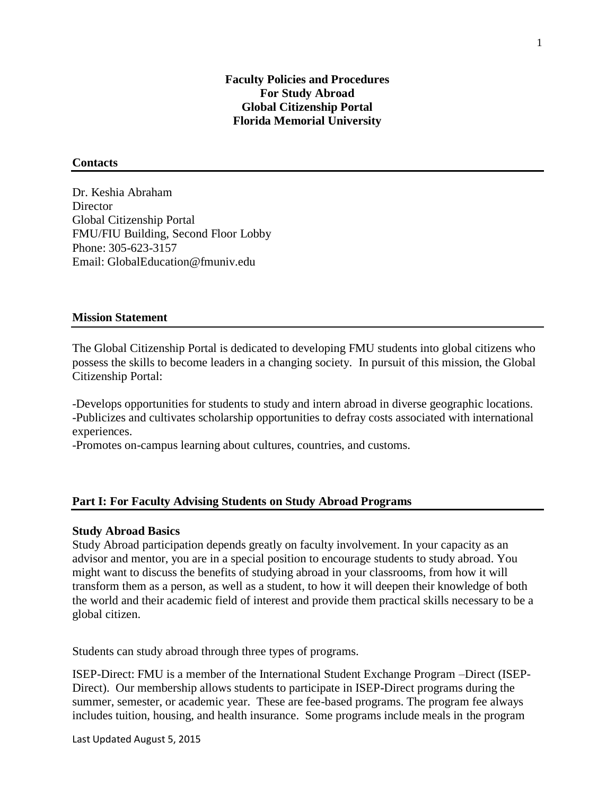### **Contacts**

Dr. Keshia Abraham **Director** Global Citizenship Portal FMU/FIU Building, Second Floor Lobby Phone: 305-623-3157 Email: GlobalEducation@fmuniv.edu

### **Mission Statement**

The Global Citizenship Portal is dedicated to developing FMU students into global citizens who possess the skills to become leaders in a changing society. In pursuit of this mission, the Global Citizenship Portal:

-Develops opportunities for students to study and intern abroad in diverse geographic locations. -Publicizes and cultivates scholarship opportunities to defray costs associated with international experiences.

-Promotes on-campus learning about cultures, countries, and customs.

### **Part I: For Faculty Advising Students on Study Abroad Programs**

### **Study Abroad Basics**

Study Abroad participation depends greatly on faculty involvement. In your capacity as an advisor and mentor, you are in a special position to encourage students to study abroad. You might want to discuss the benefits of studying abroad in your classrooms, from how it will transform them as a person, as well as a student, to how it will deepen their knowledge of both the world and their academic field of interest and provide them practical skills necessary to be a global citizen.

Students can study abroad through three types of programs.

ISEP-Direct: FMU is a member of the International Student Exchange Program –Direct (ISEP-Direct). Our membership allows students to participate in ISEP-Direct programs during the summer, semester, or academic year. These are fee-based programs. The program fee always includes tuition, housing, and health insurance. Some programs include meals in the program

Last Updated August 5, 2015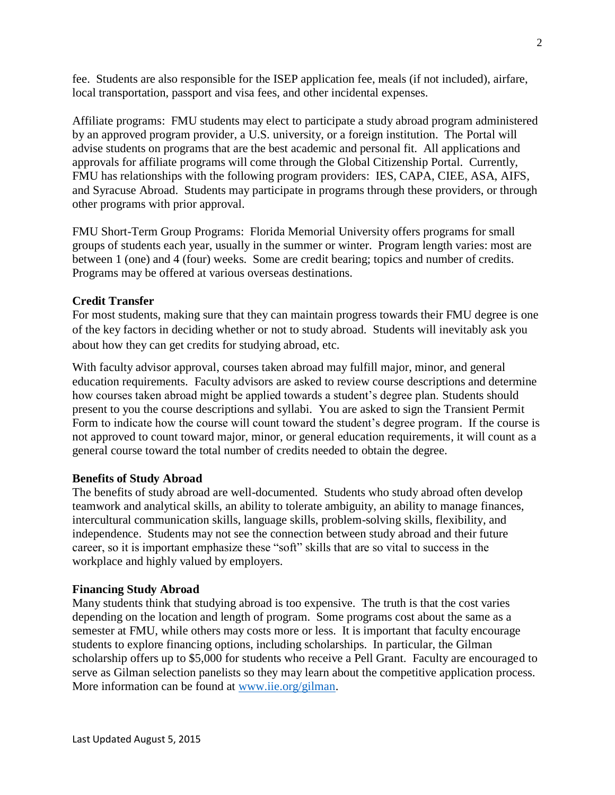fee. Students are also responsible for the ISEP application fee, meals (if not included), airfare, local transportation, passport and visa fees, and other incidental expenses.

Affiliate programs: FMU students may elect to participate a study abroad program administered by an approved program provider, a U.S. university, or a foreign institution. The Portal will advise students on programs that are the best academic and personal fit. All applications and approvals for affiliate programs will come through the Global Citizenship Portal. Currently, FMU has relationships with the following program providers: IES, CAPA, CIEE, ASA, AIFS, and Syracuse Abroad. Students may participate in programs through these providers, or through other programs with prior approval.

FMU Short-Term Group Programs: Florida Memorial University offers programs for small groups of students each year, usually in the summer or winter. Program length varies: most are between 1 (one) and 4 (four) weeks. Some are credit bearing; topics and number of credits. Programs may be offered at various overseas destinations.

# **Credit Transfer**

For most students, making sure that they can maintain progress towards their FMU degree is one of the key factors in deciding whether or not to study abroad. Students will inevitably ask you about how they can get credits for studying abroad, etc.

With faculty advisor approval, courses taken abroad may fulfill major, minor, and general education requirements. Faculty advisors are asked to review course descriptions and determine how courses taken abroad might be applied towards a student's degree plan. Students should present to you the course descriptions and syllabi. You are asked to sign the Transient Permit Form to indicate how the course will count toward the student's degree program. If the course is not approved to count toward major, minor, or general education requirements, it will count as a general course toward the total number of credits needed to obtain the degree.

## **Benefits of Study Abroad**

The benefits of study abroad are well-documented. Students who study abroad often develop teamwork and analytical skills, an ability to tolerate ambiguity, an ability to manage finances, intercultural communication skills, language skills, problem-solving skills, flexibility, and independence. Students may not see the connection between study abroad and their future career, so it is important emphasize these "soft" skills that are so vital to success in the workplace and highly valued by employers.

## **Financing Study Abroad**

Many students think that studying abroad is too expensive. The truth is that the cost varies depending on the location and length of program. Some programs cost about the same as a semester at FMU, while others may costs more or less. It is important that faculty encourage students to explore financing options, including scholarships. In particular, the Gilman scholarship offers up to \$5,000 for students who receive a Pell Grant. Faculty are encouraged to serve as Gilman selection panelists so they may learn about the competitive application process. More information can be found at [www.iie.org/gilman.](http://www.iie.org/gilman)

 $\mathfrak{D}$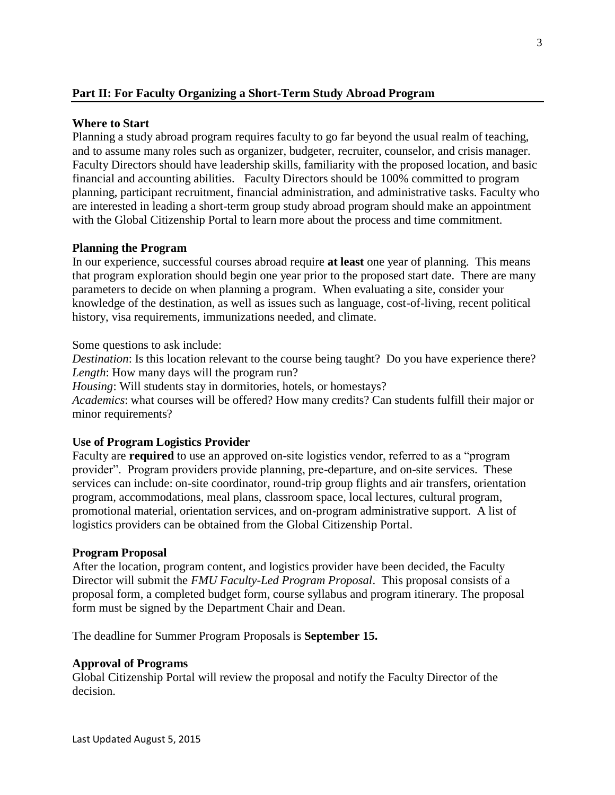# **Part II: For Faculty Organizing a Short-Term Study Abroad Program**

## **Where to Start**

Planning a study abroad program requires faculty to go far beyond the usual realm of teaching, and to assume many roles such as organizer, budgeter, recruiter, counselor, and crisis manager. Faculty Directors should have leadership skills, familiarity with the proposed location, and basic financial and accounting abilities. Faculty Directors should be 100% committed to program planning, participant recruitment, financial administration, and administrative tasks. Faculty who are interested in leading a short-term group study abroad program should make an appointment with the Global Citizenship Portal to learn more about the process and time commitment.

## **Planning the Program**

In our experience, successful courses abroad require **at least** one year of planning. This means that program exploration should begin one year prior to the proposed start date. There are many parameters to decide on when planning a program. When evaluating a site, consider your knowledge of the destination, as well as issues such as language, cost-of-living, recent political history, visa requirements, immunizations needed, and climate.

Some questions to ask include:

*Destination*: Is this location relevant to the course being taught? Do you have experience there? *Length*: How many days will the program run?

*Housing*: Will students stay in dormitories, hotels, or homestays? *Academics*: what courses will be offered? How many credits? Can students fulfill their major or minor requirements?

## **Use of Program Logistics Provider**

Faculty are **required** to use an approved on-site logistics vendor, referred to as a "program provider". Program providers provide planning, pre-departure, and on-site services. These services can include: on-site coordinator, round-trip group flights and air transfers, orientation program, accommodations, meal plans, classroom space, local lectures, cultural program, promotional material, orientation services, and on-program administrative support. A list of logistics providers can be obtained from the Global Citizenship Portal.

## **Program Proposal**

After the location, program content, and logistics provider have been decided, the Faculty Director will submit the *FMU Faculty-Led Program Proposal*. This proposal consists of a proposal form, a completed budget form, course syllabus and program itinerary. The proposal form must be signed by the Department Chair and Dean.

The deadline for Summer Program Proposals is **September 15.**

## **Approval of Programs**

Global Citizenship Portal will review the proposal and notify the Faculty Director of the decision.